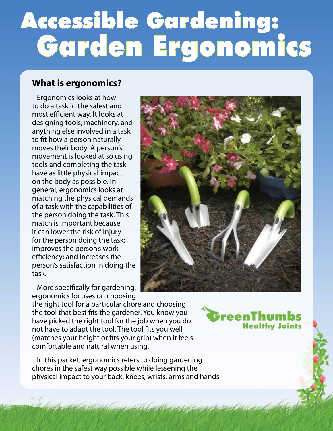# Accessible Gardening: Garden Ergonomics

### **What is ergonomics?**

 Ergonomics looks at how to do a task in the safest and most efficient way. It looks at designing tools, machinery, and anything else involved in a task to fit how a person naturally moves their body. A person's movement is looked at so using tools and completing the task have as little physical impact on the body as possible. In general, ergonomics looks at matching the physical demands of a task with the capabilities of the person doing the task. This match is important because it can lower the risk of injury for the person doing the task; improves the person's work efficiency; and increases the person's satisfaction in doing the task.

 More specifically for gardening, ergonomics focuses on choosing



the right tool for a particular chore and choosing the tool that best fits the gardener. You know you have picked the right tool for the job when you do not have to adapt the tool. The tool fits you well (matches your height or fits your grip) when it feels comfortable and natural when using.

 In this packet, ergonomics refers to doing gardening chores in the safest way possible while lessening the physical impact to your back, knees, wrists, arms and hands.

GreenThum **Healthy Joints**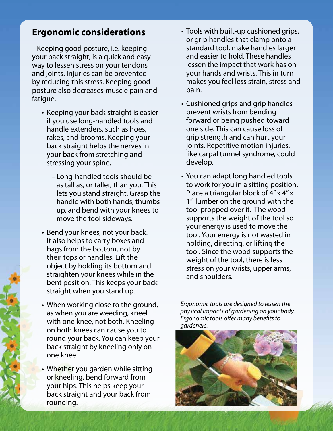#### **Ergonomic considerations**

 Keeping good posture, i.e. keeping your back straight, is a quick and easy way to lessen stress on your tendons and joints. Injuries can be prevented by reducing this stress. Keeping good posture also decreases muscle pain and fatigue.

- Keeping your back straight is easier if you use long-handled tools and handle extenders, such as hoes, rakes, and brooms. Keeping your back straight helps the nerves in your back from stretching and stressing your spine.
	- Long-handled tools should be as tall as, or taller, than you. This lets you stand straight. Grasp the handle with both hands, thumbs up, and bend with your knees to move the tool sideways.
- Bend your knees, not your back. It also helps to carry boxes and bags from the bottom, not by their tops or handles. Lift the object by holding its bottom and straighten your knees while in the bent position. This keeps your back straight when you stand up.
- When working close to the ground, as when you are weeding, kneel with one knee, not both. Kneeling on both knees can cause you to round your back. You can keep your back straight by kneeling only on one knee.
- Whether you garden while sitting or kneeling, bend forward from your hips. This helps keep your back straight and your back from rounding.
- Tools with built-up cushioned grips, or grip handles that clamp onto a standard tool, make handles larger and easier to hold. These handles lessen the impact that work has on your hands and wrists. This in turn makes you feel less strain, stress and pain.
- Cushioned grips and grip handles prevent wrists from bending forward or being pushed toward one side. This can cause loss of grip strength and can hurt your joints. Repetitive motion injuries, like carpal tunnel syndrome, could develop.
- You can adapt long handled tools to work for you in a sitting position. Place a triangular block of 4" x 4" x 1" lumber on the ground with the tool propped over it. The wood supports the weight of the tool so your energy is used to move the tool. Your energy is not wasted in holding, directing, or lifting the tool. Since the wood supports the weight of the tool, there is less stress on your wrists, upper arms, and shoulders.

*Ergonomic tools are designed to lessen the physical impacts of gardening on your body. Ergonomic tools offer many benefits to gardeners.*

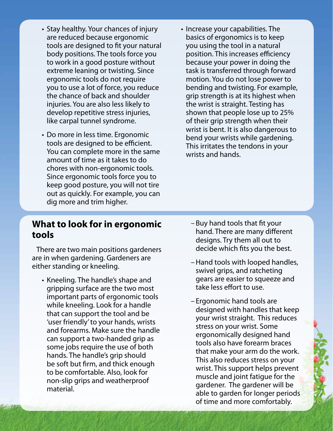- Stay healthy. Your chances of injury are reduced because ergonomic tools are designed to fit your natural body positions. The tools force you to work in a good posture without extreme leaning or twisting. Since ergonomic tools do not require you to use a lot of force, you reduce the chance of back and shoulder injuries. You are also less likely to develop repetitive stress injuries, like carpal tunnel syndrome.
- Do more in less time. Ergonomic tools are designed to be efficient. You can complete more in the same amount of time as it takes to do chores with non-ergonomic tools. Since ergonomic tools force you to keep good posture, you will not tire out as quickly. For example, you can dig more and trim higher.
- Increase your capabilities. The basics of ergonomics is to keep you using the tool in a natural position. This increases efficiency because your power in doing the task is transferred through forward motion. You do not lose power to bending and twisting. For example, grip strength is at its highest when the wrist is straight. Testing has shown that people lose up to 25% of their grip strength when their wrist is bent. It is also dangerous to bend your wrists while gardening. This irritates the tendons in your wrists and hands.

#### **What to look for in ergonomic tools**

There are two main positions gardeners decide which fits you the best.

- Kneeling. The handle's shape and gears are easier to squeeze or incidence and gears are easier to squeeze and  $\frac{1}{2}$  arinoing surface are the two most gripping surface are the two most. important parts of ergonomic tools<br>
while kneeling. Look for a handle<br>
that can support the tool and be<br>
"(user friendly' to your hands, wrists<br>
and forearms. Make sure the handle<br>
can support a two-handed grip as<br>
some jo
- Buy hand tools that fit your hand. There are many different designs. Try them all out to
- are in when gardening. Gardeners are  $\begin{array}{c} \text{e} \\ \text{e} \\ \text{e} \\ \text{e} \\ \text{f} \\ \text{f} \\ \text{f} \\ \text{f} \\ \text{a} \\ \text{b} \\ \text{c} \\ \text{c} \\ \text{d} \\ \text{d} \\ \text{e} \\ \text{f} \\ \text{f} \\ \text{f} \\ \text{f} \\ \text{f} \\ \text{f} \\ \text{f} \\ \text{f} \\ \text{f} \\ \text{f} \\ \text{f} \\ \text{f} \\ \text{f} \\ \text{f} \\ \text{$ 
	- of time and more comfortably.